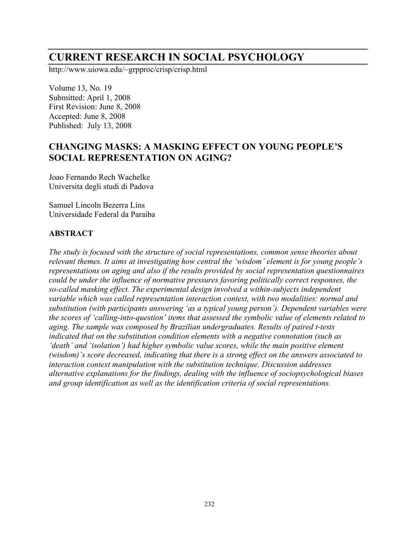# **CURRENT RESEARCH IN SOCIAL PSYCHOLOGY**

http://www.uiowa.edu/~grpproc/crisp/crisp.html

Volume 13, No. 19 Submitted: April 1, 2008 First Revision: June 8, 2008 Accepted: June 8, 2008 Published: July 13, 2008

# **CHANGING MASKS: A MASKING EFFECT ON YOUNG PEOPLE'S SOCIAL REPRESENTATION ON AGING?**

Joao Fernando Rech Wachelke Universita degli studi di Padova

Samuel Lincoln Bezerra Lins Universidade Federal da Paraiba

#### **ABSTRACT**

*The study is focused with the structure of social representations, common sense theories about relevant themes. It aims at investigating how central the 'wisdom' element is for young people's representations on aging and also if the results provided by social representation questionnaires could be under the influence of normative pressures favoring politically correct responses, the so-called masking effect. The experimental design involved a within-subjects independent variable which was called representation interaction context, with two modalities: normal and substitution (with participants answering 'as a typical young person'). Dependent variables were the scores of 'calling-into-question' items that assessed the symbolic value of elements related to aging. The sample was composed by Brazilian undergraduates. Results of paired t-tests indicated that on the substitution condition elements with a negative connotation (such as 'death' and 'isolation') had higher symbolic value scores, while the main positive element (wisdom)'s score decreased, indicating that there is a strong effect on the answers associated to interaction context manipulation with the substitution technique. Discussion addresses alternative explanations for the findings, dealing with the influence of sociopsychological biases and group identification as well as the identification criteria of social representations.*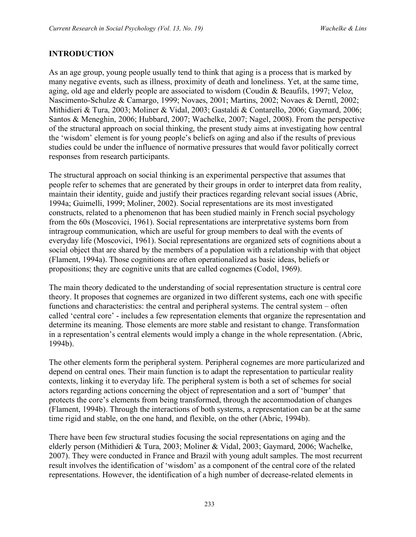#### **INTRODUCTION**

As an age group, young people usually tend to think that aging is a process that is marked by many negative events, such as illness, proximity of death and loneliness. Yet, at the same time, aging, old age and elderly people are associated to wisdom (Coudin & Beaufils, 1997; Veloz, Nascimento-Schulze & Camargo, 1999; Novaes, 2001; Martins, 2002; Novaes & Derntl, 2002; Mithidieri & Tura, 2003; Moliner & Vidal, 2003; Gastaldi & Contarello, 2006; Gaymard, 2006; Santos & Meneghin, 2006; Hubbard, 2007; Wachelke, 2007; Nagel, 2008). From the perspective of the structural approach on social thinking, the present study aims at investigating how central the 'wisdom' element is for young people's beliefs on aging and also if the results of previous studies could be under the influence of normative pressures that would favor politically correct responses from research participants.

The structural approach on social thinking is an experimental perspective that assumes that people refer to schemes that are generated by their groups in order to interpret data from reality, maintain their identity, guide and justify their practices regarding relevant social issues (Abric, 1994a; Guimelli, 1999; Moliner, 2002). Social representations are its most investigated constructs, related to a phenomenon that has been studied mainly in French social psychology from the 60s (Moscovici, 1961). Social representations are interpretative systems born from intragroup communication, which are useful for group members to deal with the events of everyday life (Moscovici, 1961). Social representations are organized sets of cognitions about a social object that are shared by the members of a population with a relationship with that object (Flament, 1994a). Those cognitions are often operationalized as basic ideas, beliefs or propositions; they are cognitive units that are called cognemes (Codol, 1969).

The main theory dedicated to the understanding of social representation structure is central core theory. It proposes that cognemes are organized in two different systems, each one with specific functions and characteristics: the central and peripheral systems. The central system – often called 'central core' - includes a few representation elements that organize the representation and determine its meaning. Those elements are more stable and resistant to change. Transformation in a representation's central elements would imply a change in the whole representation. (Abric, 1994b).

The other elements form the peripheral system. Peripheral cognemes are more particularized and depend on central ones. Their main function is to adapt the representation to particular reality contexts, linking it to everyday life. The peripheral system is both a set of schemes for social actors regarding actions concerning the object of representation and a sort of 'bumper' that protects the core's elements from being transformed, through the accommodation of changes (Flament, 1994b). Through the interactions of both systems, a representation can be at the same time rigid and stable, on the one hand, and flexible, on the other (Abric, 1994b).

There have been few structural studies focusing the social representations on aging and the elderly person (Mithidieri & Tura, 2003; Moliner & Vidal, 2003; Gaymard, 2006; Wachelke, 2007). They were conducted in France and Brazil with young adult samples. The most recurrent result involves the identification of 'wisdom' as a component of the central core of the related representations. However, the identification of a high number of decrease-related elements in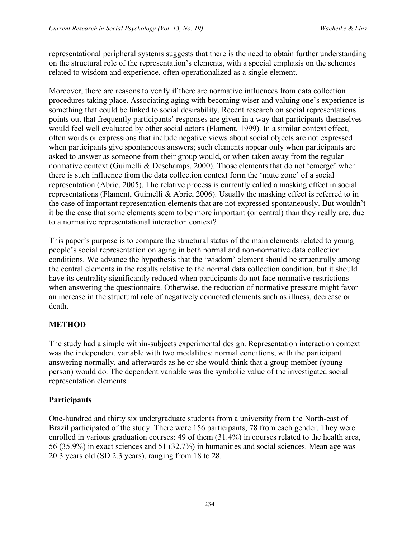representational peripheral systems suggests that there is the need to obtain further understanding on the structural role of the representation's elements, with a special emphasis on the schemes related to wisdom and experience, often operationalized as a single element.

Moreover, there are reasons to verify if there are normative influences from data collection procedures taking place. Associating aging with becoming wiser and valuing one's experience is something that could be linked to social desirability. Recent research on social representations points out that frequently participants' responses are given in a way that participants themselves would feel well evaluated by other social actors (Flament, 1999). In a similar context effect, often words or expressions that include negative views about social objects are not expressed when participants give spontaneous answers; such elements appear only when participants are asked to answer as someone from their group would, or when taken away from the regular normative context (Guimelli & Deschamps, 2000). Those elements that do not 'emerge' when there is such influence from the data collection context form the 'mute zone' of a social representation (Abric, 2005). The relative process is currently called a masking effect in social representations (Flament, Guimelli & Abric, 2006). Usually the masking effect is referred to in the case of important representation elements that are not expressed spontaneously. But wouldn't it be the case that some elements seem to be more important (or central) than they really are, due to a normative representational interaction context?

This paper's purpose is to compare the structural status of the main elements related to young people's social representation on aging in both normal and non-normative data collection conditions. We advance the hypothesis that the 'wisdom' element should be structurally among the central elements in the results relative to the normal data collection condition, but it should have its centrality significantly reduced when participants do not face normative restrictions when answering the questionnaire. Otherwise, the reduction of normative pressure might favor an increase in the structural role of negatively connoted elements such as illness, decrease or death.

# **METHOD**

The study had a simple within-subjects experimental design. Representation interaction context was the independent variable with two modalities: normal conditions, with the participant answering normally, and afterwards as he or she would think that a group member (young person) would do. The dependent variable was the symbolic value of the investigated social representation elements.

# **Participants**

One-hundred and thirty six undergraduate students from a university from the North-east of Brazil participated of the study. There were 156 participants, 78 from each gender. They were enrolled in various graduation courses: 49 of them (31.4%) in courses related to the health area, 56 (35.9%) in exact sciences and 51 (32.7%) in humanities and social sciences. Mean age was 20.3 years old (SD 2.3 years), ranging from 18 to 28.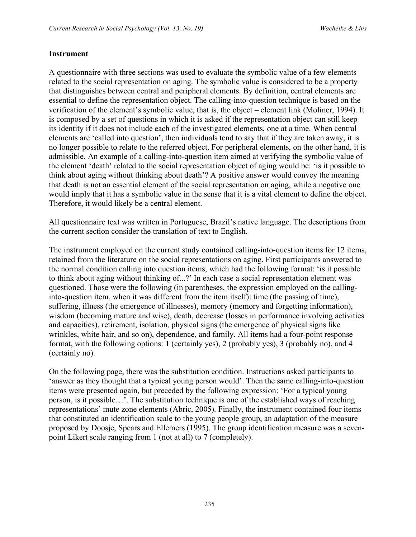#### **Instrument**

A questionnaire with three sections was used to evaluate the symbolic value of a few elements related to the social representation on aging. The symbolic value is considered to be a property that distinguishes between central and peripheral elements. By definition, central elements are essential to define the representation object. The calling-into-question technique is based on the verification of the element's symbolic value, that is, the object – element link (Moliner, 1994). It is composed by a set of questions in which it is asked if the representation object can still keep its identity if it does not include each of the investigated elements, one at a time. When central elements are 'called into question', then individuals tend to say that if they are taken away, it is no longer possible to relate to the referred object. For peripheral elements, on the other hand, it is admissible. An example of a calling-into-question item aimed at verifying the symbolic value of the element 'death' related to the social representation object of aging would be: 'is it possible to think about aging without thinking about death'? A positive answer would convey the meaning that death is not an essential element of the social representation on aging, while a negative one would imply that it has a symbolic value in the sense that it is a vital element to define the object. Therefore, it would likely be a central element.

All questionnaire text was written in Portuguese, Brazil's native language. The descriptions from the current section consider the translation of text to English.

The instrument employed on the current study contained calling-into-question items for 12 items, retained from the literature on the social representations on aging. First participants answered to the normal condition calling into question items, which had the following format: 'is it possible to think about aging without thinking of...?' In each case a social representation element was questioned. Those were the following (in parentheses, the expression employed on the callinginto-question item, when it was different from the item itself): time (the passing of time), suffering, illness (the emergence of illnesses), memory (memory and forgetting information), wisdom (becoming mature and wise), death, decrease (losses in performance involving activities and capacities), retirement, isolation, physical signs (the emergence of physical signs like wrinkles, white hair, and so on), dependence, and family. All items had a four-point response format, with the following options: 1 (certainly yes), 2 (probably yes), 3 (probably no), and 4 (certainly no).

On the following page, there was the substitution condition. Instructions asked participants to 'answer as they thought that a typical young person would'. Then the same calling-into-question items were presented again, but preceded by the following expression: 'For a typical young person, is it possible…'. The substitution technique is one of the established ways of reaching representations' mute zone elements (Abric, 2005). Finally, the instrument contained four items that constituted an identification scale to the young people group, an adaptation of the measure proposed by Doosje, Spears and Ellemers (1995). The group identification measure was a sevenpoint Likert scale ranging from 1 (not at all) to 7 (completely).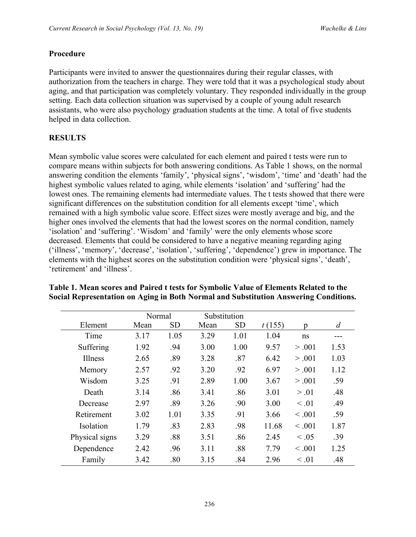#### **Procedure**

Participants were invited to answer the questionnaires during their regular classes, with authorization from the teachers in charge. They were told that it was a psychological study about aging, and that participation was completely voluntary. They responded individually in the group setting. Each data collection situation was supervised by a couple of young adult research assistants, who were also psychology graduation students at the time. A total of five students helped in data collection.

## **RESULTS**

Mean symbolic value scores were calculated for each element and paired t tests were run to compare means within subjects for both answering conditions. As Table 1 shows, on the normal answering condition the elements 'family', 'physical signs', 'wisdom', 'time' and 'death' had the highest symbolic values related to aging, while elements 'isolation' and 'suffering' had the lowest ones. The remaining elements had intermediate values. The t tests showed that there were significant differences on the substitution condition for all elements except 'time', which remained with a high symbolic value score. Effect sizes were mostly average and big, and the higher ones involved the elements that had the lowest scores on the normal condition, namely 'isolation' and 'suffering'. 'Wisdom' and 'family' were the only elements whose score decreased. Elements that could be considered to have a negative meaning regarding aging ('illness', 'memory', 'decrease', 'isolation', 'suffering', 'dependence') grew in importance. The elements with the highest scores on the substitution condition were 'physical signs', 'death', 'retirement' and 'illness'.

|                | Normal |           | Substitution |           |        |            |                |
|----------------|--------|-----------|--------------|-----------|--------|------------|----------------|
| Element        | Mean   | <b>SD</b> | Mean         | <b>SD</b> | t(155) | p          | $\overline{d}$ |
| Time           | 3.17   | 1.05      | 3.29         | 1.01      | 1.04   | ns         |                |
| Suffering      | 1.92   | .94       | 3.00         | 1.00      | 9.57   | > 0.001    | 1.53           |
| Illness        | 2.65   | .89       | 3.28         | .87       | 6.42   | > 0.001    | 1.03           |
| Memory         | 2.57   | .92       | 3.20         | .92       | 6.97   | > .001     | 1.12           |
| Wisdom         | 3.25   | .91       | 2.89         | 1.00      | 3.67   | > .001     | .59            |
| Death          | 3.14   | .86       | 3.41         | .86       | 3.01   | > 0.01     | .48            |
| Decrease       | 2.97   | .89       | 3.26         | .90       | 3.00   | $\leq .01$ | .49            |
| Retirement     | 3.02   | 1.01      | 3.35         | .91       | 3.66   | < 0.001    | .59            |
| Isolation      | 1.79   | .83       | 2.83         | .98       | 11.68  | < 0.001    | 1.87           |
| Physical signs | 3.29   | .88       | 3.51         | .86       | 2.45   | $\leq .05$ | .39            |
| Dependence     | 2.42   | .96       | 3.11         | .88       | 7.79   | < 0.001    | 1.25           |
| Family         | 3.42   | .80       | 3.15         | .84       | 2.96   | $\leq .01$ | .48            |

## **Table 1. Mean scores and Paired t tests for Symbolic Value of Elements Related to the Social Representation on Aging in Both Normal and Substitution Answering Conditions.**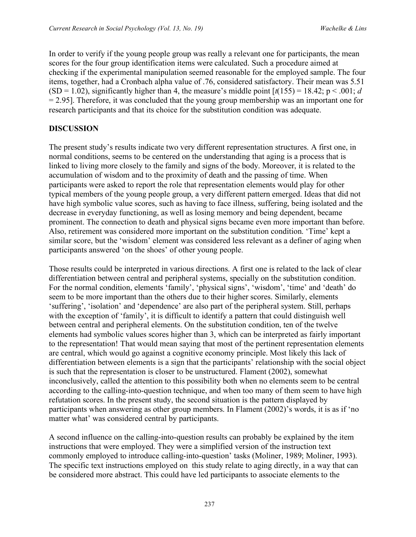In order to verify if the young people group was really a relevant one for participants, the mean scores for the four group identification items were calculated. Such a procedure aimed at checking if the experimental manipulation seemed reasonable for the employed sample. The four items, together, had a Cronbach alpha value of .76, considered satisfactory. Their mean was 5.51  $(SD = 1.02)$ , significantly higher than 4, the measure's middle point  $\lceil t(155) \rceil = 18.42$ ;  $p \le 0.001$ ; *d*  $= 2.95$ ]. Therefore, it was concluded that the young group membership was an important one for research participants and that its choice for the substitution condition was adequate.

## **DISCUSSION**

The present study's results indicate two very different representation structures. A first one, in normal conditions, seems to be centered on the understanding that aging is a process that is linked to living more closely to the family and signs of the body. Moreover, it is related to the accumulation of wisdom and to the proximity of death and the passing of time. When participants were asked to report the role that representation elements would play for other typical members of the young people group, a very different pattern emerged. Ideas that did not have high symbolic value scores, such as having to face illness, suffering, being isolated and the decrease in everyday functioning, as well as losing memory and being dependent, became prominent. The connection to death and physical signs became even more important than before. Also, retirement was considered more important on the substitution condition. 'Time' kept a similar score, but the 'wisdom' element was considered less relevant as a definer of aging when participants answered 'on the shoes' of other young people.

Those results could be interpreted in various directions. A first one is related to the lack of clear differentiation between central and peripheral systems, specially on the substitution condition. For the normal condition, elements 'family', 'physical signs', 'wisdom', 'time' and 'death' do seem to be more important than the others due to their higher scores. Similarly, elements 'suffering', 'isolation' and 'dependence' are also part of the peripheral system. Still, perhaps with the exception of 'family', it is difficult to identify a pattern that could distinguish well between central and peripheral elements. On the substitution condition, ten of the twelve elements had symbolic values scores higher than 3, which can be interpreted as fairly important to the representation! That would mean saying that most of the pertinent representation elements are central, which would go against a cognitive economy principle. Most likely this lack of differentiation between elements is a sign that the participants' relationship with the social object is such that the representation is closer to be unstructured. Flament (2002), somewhat inconclusively, called the attention to this possibility both when no elements seem to be central according to the calling-into-question technique, and when too many of them seem to have high refutation scores. In the present study, the second situation is the pattern displayed by participants when answering as other group members. In Flament (2002)'s words, it is as if 'no matter what' was considered central by participants.

A second influence on the calling-into-question results can probably be explained by the item instructions that were employed. They were a simplified version of the instruction text commonly employed to introduce calling-into-question' tasks (Moliner, 1989; Moliner, 1993). The specific text instructions employed on this study relate to aging directly, in a way that can be considered more abstract. This could have led participants to associate elements to the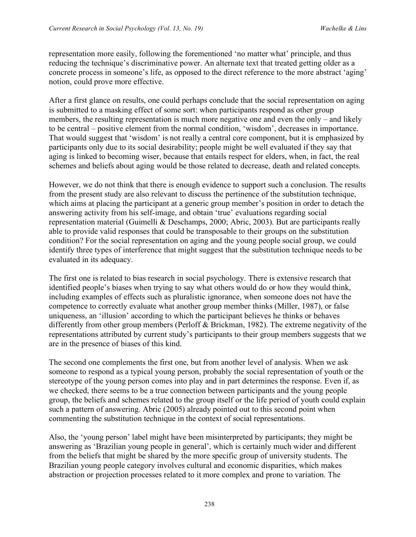representation more easily, following the forementioned 'no matter what' principle, and thus reducing the technique's discriminative power. An alternate text that treated getting older as a concrete process in someone's life, as opposed to the direct reference to the more abstract 'aging' notion, could prove more effective.

After a first glance on results, one could perhaps conclude that the social representation on aging is submitted to a masking effect of some sort: when participants respond as other group members, the resulting representation is much more negative one and even the only – and likely to be central – positive element from the normal condition, 'wisdom', decreases in importance. That would suggest that 'wisdom' is not really a central core component, but it is emphasized by participants only due to its social desirability; people might be well evaluated if they say that aging is linked to becoming wiser, because that entails respect for elders, when, in fact, the real schemes and beliefs about aging would be those related to decrease, death and related concepts.

However, we do not think that there is enough evidence to support such a conclusion. The results from the present study are also relevant to discuss the pertinence of the substitution technique, which aims at placing the participant at a generic group member's position in order to detach the answering activity from his self-image, and obtain 'true' evaluations regarding social representation material (Guimelli & Deschamps, 2000; Abric, 2003). But are participants really able to provide valid responses that could be transposable to their groups on the substitution condition? For the social representation on aging and the young people social group, we could identify three types of interference that might suggest that the substitution technique needs to be evaluated in its adequacy.

The first one is related to bias research in social psychology. There is extensive research that identified people's biases when trying to say what others would do or how they would think, including examples of effects such as pluralistic ignorance, when someone does not have the competence to correctly evaluate what another group member thinks (Miller, 1987), or false uniqueness, an 'illusion' according to which the participant believes he thinks or behaves differently from other group members (Perloff & Brickman, 1982). The extreme negativity of the representations attributed by current study's participants to their group members suggests that we are in the presence of biases of this kind.

The second one complements the first one, but from another level of analysis. When we ask someone to respond as a typical young person, probably the social representation of youth or the stereotype of the young person comes into play and in part determines the response. Even if, as we checked, there seems to be a true connection between participants and the young people group, the beliefs and schemes related to the group itself or the life period of youth could explain such a pattern of answering. Abric (2005) already pointed out to this second point when commenting the substitution technique in the context of social representations.

Also, the 'young person' label might have been misinterpreted by participants; they might be answering as 'Brazilian young people in general', which is certainly much wider and different from the beliefs that might be shared by the more specific group of university students. The Brazilian young people category involves cultural and economic disparities, which makes abstraction or projection processes related to it more complex and prone to variation. The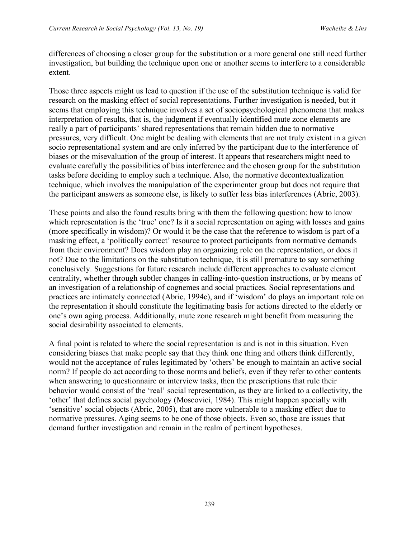differences of choosing a closer group for the substitution or a more general one still need further investigation, but building the technique upon one or another seems to interfere to a considerable extent.

Those three aspects might us lead to question if the use of the substitution technique is valid for research on the masking effect of social representations. Further investigation is needed, but it seems that employing this technique involves a set of sociopsychological phenomena that makes interpretation of results, that is, the judgment if eventually identified mute zone elements are really a part of participants' shared representations that remain hidden due to normative pressures, very difficult. One might be dealing with elements that are not truly existent in a given socio representational system and are only inferred by the participant due to the interference of biases or the misevaluation of the group of interest. It appears that researchers might need to evaluate carefully the possibilities of bias interference and the chosen group for the substitution tasks before deciding to employ such a technique. Also, the normative decontextualization technique, which involves the manipulation of the experimenter group but does not require that the participant answers as someone else, is likely to suffer less bias interferences (Abric, 2003).

These points and also the found results bring with them the following question: how to know which representation is the 'true' one? Is it a social representation on aging with losses and gains (more specifically in wisdom)? Or would it be the case that the reference to wisdom is part of a masking effect, a 'politically correct' resource to protect participants from normative demands from their environment? Does wisdom play an organizing role on the representation, or does it not? Due to the limitations on the substitution technique, it is still premature to say something conclusively. Suggestions for future research include different approaches to evaluate element centrality, whether through subtler changes in calling-into-question instructions, or by means of an investigation of a relationship of cognemes and social practices. Social representations and practices are intimately connected (Abric, 1994c), and if 'wisdom' do plays an important role on the representation it should constitute the legitimating basis for actions directed to the elderly or one's own aging process. Additionally, mute zone research might benefit from measuring the social desirability associated to elements.

A final point is related to where the social representation is and is not in this situation. Even considering biases that make people say that they think one thing and others think differently, would not the acceptance of rules legitimated by 'others' be enough to maintain an active social norm? If people do act according to those norms and beliefs, even if they refer to other contents when answering to questionnaire or interview tasks, then the prescriptions that rule their behavior would consist of the 'real' social representation, as they are linked to a collectivity, the 'other' that defines social psychology (Moscovici, 1984). This might happen specially with 'sensitive' social objects (Abric, 2005), that are more vulnerable to a masking effect due to normative pressures. Aging seems to be one of those objects. Even so, those are issues that demand further investigation and remain in the realm of pertinent hypotheses.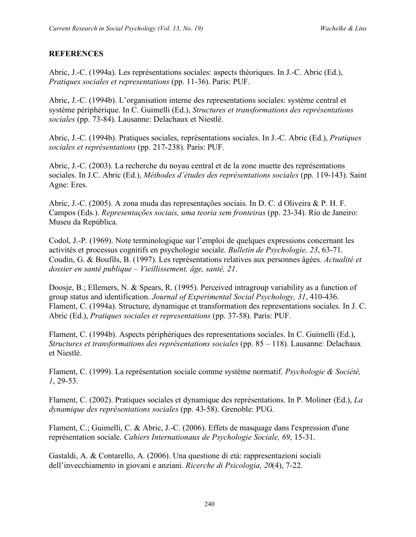## **REFERENCES**

Abric, J.-C. (1994a). Les représentations sociales: aspects théoriques. In J.-C. Abric (Ed.), *Pratiques sociales et representations* (pp. 11-36). Paris: PUF.

Abric, J.-C. (1994b). L'organisation interne des representations sociales: système central et système périphérique. In C. Guimelli (Ed.), *Structures et transformations des représentations sociales* (pp. 73-84). Lausanne: Delachaux et Niestlé.

Abric, J.-C. (1994b). Pratiques sociales, représentations sociales. In J.-C. Abric (Ed.), *Pratiques sociales et représentations* (pp. 217-238). Paris: PUF.

Abric, J.-C. (2003). La recherche du noyau central et de la zone muette des représentations sociales. In J.C. Abric (Ed.), *Méthodes d'études des représentations sociales* (pp. 119-143). Saint Agne: Eres.

Abric, J.-C. (2005). A zona muda das representações sociais. In D. C. d Oliveira & P. H. F. Campos (Eds.). *Representações sociais, uma teoria sem fronteiras* (pp. 23-34). Rio de Janeiro: Museu da República.

Codol, J.-P. (1969). Note terminologique sur l'emploi de quelques expressions concernant les activités et processus cognitifs en psychologie sociale. *Bulletin de Psychologie, 23*, 63-71. Coudin, G. & Boufils, B. (1997). Les représentations relatives aux personnes âgées. *Actualité et dossier en santé publique – Vieillissement, âge, santé, 21*.

Doosje, B.; Ellemers, N. & Spears, R. (1995). Perceived intragroup variability as a function of group status and identification. *Journal of Experimental Social Psychology, 31*, 410-436. Flament, C. (1994a). Structure, dynamique et transformation des representations sociales. In J. C. Abric (Ed.), *Pratiques sociales et representations* (pp. 37-58). Paris: PUF.

Flament, C. (1994b). Aspects périphériques des representations sociales. In C. Guimelli (Ed.), *Structures et transformations des représentations sociales* (pp. 85 – 118). Lausanne: Delachaux et Niestlé.

Flament, C. (1999). La représentation sociale comme système normatif. *Psychologie & Société, 1*, 29-53.

Flament, C. (2002). Pratiques sociales et dynamique des représentations. In P. Moliner (Ed.), *La dynamique des représentations sociales* (pp. 43-58). Grenoble: PUG.

Flament, C.; Guimelli, C. & Abric, J.-C. (2006). Effets de masquage dans l'expression d'une représentation sociale. *Cahiers Internationaux de Psychologie Sociale, 69*, 15-31.

Gastaldi, A. & Contarello, A. (2006). Una questione di età: rappresentazioni sociali dell'invecchiamento in giovani e anziani. *Ricerche di Psicologia, 20*(4), 7-22.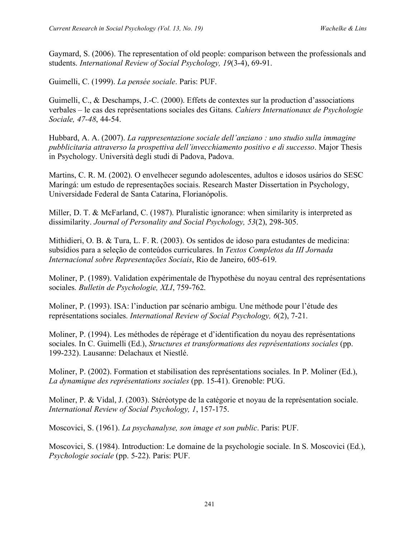Gaymard, S. (2006). The representation of old people: comparison between the professionals and students. *International Review of Social Psychology, 19*(3-4), 69-91.

Guimelli, C. (1999). *La pensée sociale*. Paris: PUF.

Guimelli, C., & Deschamps, J.-C. (2000). Effets de contextes sur la production d'associations verbales – le cas des représentations sociales des Gitans. *Cahiers Internationaux de Psychologie Sociale, 47-48*, 44-54.

Hubbard, A. A. (2007). *La rappresentazione sociale dell'anziano : uno studio sulla immagine pubblicitaria attraverso la prospettiva dell'invecchiamento positivo e di successo*. Major Thesis in Psychology. Università degli studi di Padova, Padova.

Martins, C. R. M. (2002). O envelhecer segundo adolescentes, adultos e idosos usários do SESC Maringá: um estudo de representações sociais. Research Master Dissertation in Psychology, Universidade Federal de Santa Catarina, Florianópolis.

Miller, D. T. & McFarland, C. (1987). Pluralistic ignorance: when similarity is interpreted as dissimilarity. *Journal of Personality and Social Psychology, 53*(2), 298-305.

Mithidieri, O. B. & Tura, L. F. R. (2003). Os sentidos de idoso para estudantes de medicina: subsídios para a seleção de conteúdos curriculares. In *Textos Completos da III Jornada Internacional sobre Representações Sociais*, Rio de Janeiro, 605-619.

Moliner, P. (1989). Validation expérimentale de l'hypothèse du noyau central des représentations sociales. *Bulletin de Psychologie, XLI*, 759-762.

Moliner, P. (1993). ISA: l'induction par scénario ambigu. Une méthode pour l'étude des représentations sociales. *International Review of Social Psychology, 6*(2), 7-21.

Moliner, P. (1994). Les méthodes de répérage et d'identification du noyau des représentations sociales. In C. Guimelli (Ed.), *Structures et transformations des représentations sociales* (pp. 199-232). Lausanne: Delachaux et Niestlé.

Moliner, P. (2002). Formation et stabilisation des représentations sociales. In P. Moliner (Ed.), *La dynamique des représentations sociales* (pp. 15-41). Grenoble: PUG.

Moliner, P. & Vidal, J. (2003). Stéréotype de la catégorie et noyau de la représentation sociale. *International Review of Social Psychology, 1*, 157-175.

Moscovici, S. (1961). *La psychanalyse, son image et son public*. Paris: PUF.

Moscovici, S. (1984). Introduction: Le domaine de la psychologie sociale. In S. Moscovici (Ed.), *Psychologie sociale* (pp. 5-22). Paris: PUF.